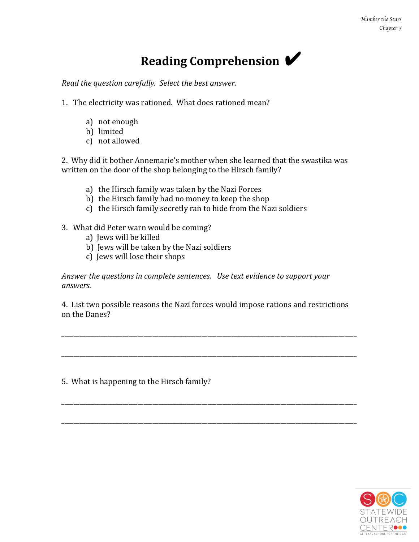## **Reading Comprehension**

*Read the question carefully. Select the best answer.* 

- 1. The electricity was rationed. What does rationed mean?
	- a) not enough
	- b) limited
	- c) not allowed

2. Why did it bother Annemarie's mother when she learned that the swastika was written on the door of the shop belonging to the Hirsch family?

- a) the Hirsch family was taken by the Nazi Forces
- b) the Hirsch family had no money to keep the shop
- c) the Hirsch family secretly ran to hide from the Nazi soldiers
- 3. What did Peter warn would be coming?
	- a) Jews will be killed
	- b) Jews will be taken by the Nazi soldiers
	- c) Jews will lose their shops

Answer the questions in complete sentences. Use text evidence to support your *answers.* 

4. List two possible reasons the Nazi forces would impose rations and restrictions on the Danes?

\_\_\_\_\_\_\_\_\_\_\_\_\_\_\_\_\_\_\_\_\_\_\_\_\_\_\_\_\_\_\_\_\_\_\_\_\_\_\_\_\_\_\_\_\_\_\_\_\_\_\_\_\_\_\_\_\_\_\_\_\_\_\_\_\_\_\_\_\_\_\_\_\_\_\_\_\_\_\_\_\_\_\_\_\_\_\_\_\_\_\_\_\_\_\_\_\_

\_\_\_\_\_\_\_\_\_\_\_\_\_\_\_\_\_\_\_\_\_\_\_\_\_\_\_\_\_\_\_\_\_\_\_\_\_\_\_\_\_\_\_\_\_\_\_\_\_\_\_\_\_\_\_\_\_\_\_\_\_\_\_\_\_\_\_\_\_\_\_\_\_\_\_\_\_\_\_\_\_\_\_\_\_\_\_\_\_\_\_\_\_\_\_\_\_

\_\_\_\_\_\_\_\_\_\_\_\_\_\_\_\_\_\_\_\_\_\_\_\_\_\_\_\_\_\_\_\_\_\_\_\_\_\_\_\_\_\_\_\_\_\_\_\_\_\_\_\_\_\_\_\_\_\_\_\_\_\_\_\_\_\_\_\_\_\_\_\_\_\_\_\_\_\_\_\_\_\_\_\_\_\_\_\_\_\_\_\_\_\_\_\_\_

\_\_\_\_\_\_\_\_\_\_\_\_\_\_\_\_\_\_\_\_\_\_\_\_\_\_\_\_\_\_\_\_\_\_\_\_\_\_\_\_\_\_\_\_\_\_\_\_\_\_\_\_\_\_\_\_\_\_\_\_\_\_\_\_\_\_\_\_\_\_\_\_\_\_\_\_\_\_\_\_\_\_\_\_\_\_\_\_\_\_\_\_\_\_\_\_\_

5. What is happening to the Hirsch family?